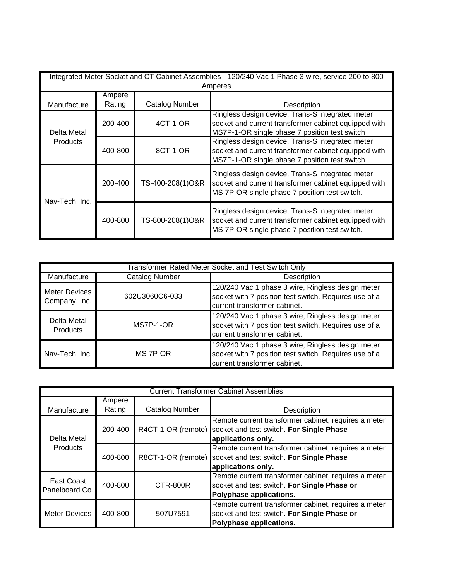| Integrated Meter Socket and CT Cabinet Assemblies - 120/240 Vac 1 Phase 3 wire, service 200 to 800<br>Amperes |                  |                       |                                                                                                                                                           |  |  |
|---------------------------------------------------------------------------------------------------------------|------------------|-----------------------|-----------------------------------------------------------------------------------------------------------------------------------------------------------|--|--|
| Manufacture                                                                                                   | Ampere<br>Rating | <b>Catalog Number</b> | Description                                                                                                                                               |  |  |
| Delta Metal<br>Products                                                                                       | 200-400          | 4CT-1-OR              | Ringless design device, Trans-S integrated meter<br>socket and current transformer cabinet equipped with<br>MS7P-1-OR single phase 7 position test switch |  |  |
|                                                                                                               | 400-800          | 8CT-1-OR              | Ringless design device, Trans-S integrated meter<br>socket and current transformer cabinet equipped with<br>MS7P-1-OR single phase 7 position test switch |  |  |
| Nav-Tech, Inc.                                                                                                | 200-400          | TS-400-208(1)O&R      | Ringless design device, Trans-S integrated meter<br>socket and current transformer cabinet equipped with<br>MS 7P-OR single phase 7 position test switch. |  |  |
|                                                                                                               | 400-800          | TS-800-208(1)O&R      | Ringless design device, Trans-S integrated meter<br>socket and current transformer cabinet equipped with<br>MS 7P-OR single phase 7 position test switch. |  |  |

| Transformer Rated Meter Socket and Test Switch Only |                       |                                                                                                                                            |  |  |  |
|-----------------------------------------------------|-----------------------|--------------------------------------------------------------------------------------------------------------------------------------------|--|--|--|
| Manufacture                                         | <b>Catalog Number</b> | Description                                                                                                                                |  |  |  |
| <b>Meter Devices</b><br>Company, Inc.               | 602U3060C6-033        | 120/240 Vac 1 phase 3 wire, Ringless design meter<br>socket with 7 position test switch. Requires use of a<br>current transformer cabinet. |  |  |  |
| Delta Metal<br><b>Products</b>                      | MS7P-1-OR             | 120/240 Vac 1 phase 3 wire, Ringless design meter<br>socket with 7 position test switch. Requires use of a<br>current transformer cabinet. |  |  |  |
| Nav-Tech, Inc.                                      | MS 7P-OR              | 120/240 Vac 1 phase 3 wire, Ringless design meter<br>socket with 7 position test switch. Requires use of a<br>current transformer cabinet. |  |  |  |

| <b>Current Transformer Cabinet Assemblies</b> |                  |                       |                                                                                                                                           |  |
|-----------------------------------------------|------------------|-----------------------|-------------------------------------------------------------------------------------------------------------------------------------------|--|
| Manufacture                                   | Ampere<br>Rating | <b>Catalog Number</b> | Description                                                                                                                               |  |
| Delta Metal<br><b>Products</b>                | 200-400          |                       | Remote current transformer cabinet, requires a meter<br>R4CT-1-OR (remote) socket and test switch. For Single Phase<br>applications only. |  |
|                                               | 400-800          |                       | Remote current transformer cabinet, requires a meter<br>R8CT-1-OR (remote) socket and test switch. For Single Phase<br>applications only. |  |
| East Coast<br>Panelboard Co.                  | 400-800          | CTR-800R              | Remote current transformer cabinet, requires a meter<br>socket and test switch. For Single Phase or<br>Polyphase applications.            |  |
| <b>Meter Devices</b>                          | 400-800          | 507U7591              | Remote current transformer cabinet, requires a meter<br>socket and test switch. For Single Phase or<br>Polyphase applications.            |  |